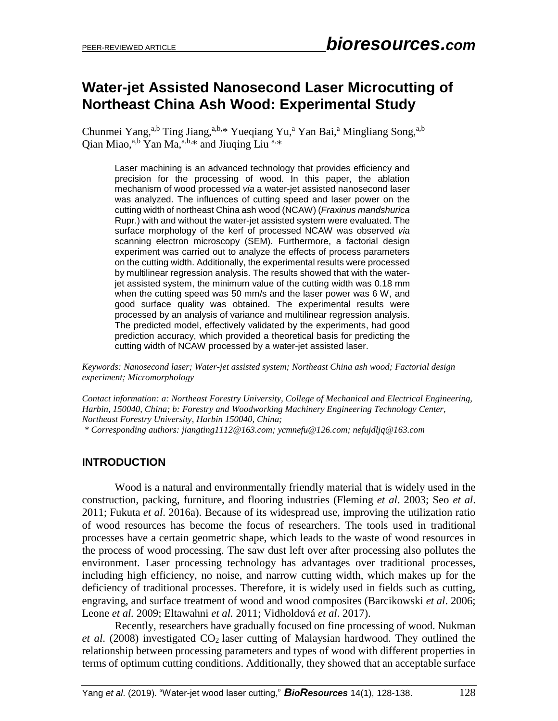# **Water-jet Assisted Nanosecond Laser Microcutting of Northeast China Ash Wood: Experimental Study**

Chunmei Yang,<sup>a,b</sup> Ting Jiang,<sup>a,b,\*</sup> Yueqiang Yu,<sup>a</sup> Yan Bai,<sup>a</sup> Mingliang Song,<sup>a,b</sup> Qian Miao,<sup>a,b</sup> Yan Ma,<sup>a,b,\*</sup> and Jiuqing Liu<sup>a,\*</sup>

Laser machining is an advanced technology that provides efficiency and precision for the processing of wood. In this paper, the ablation mechanism of wood processed *via* a water-jet assisted nanosecond laser was analyzed. The influences of cutting speed and laser power on the cutting width of northeast China ash wood (NCAW) (*Fraxinus mandshurica*  Rupr.) with and without the water-jet assisted system were evaluated. The surface morphology of the kerf of processed NCAW was observed *via* scanning electron microscopy (SEM). Furthermore, a factorial design experiment was carried out to analyze the effects of process parameters on the cutting width. Additionally, the experimental results were processed by multilinear regression analysis. The results showed that with the waterjet assisted system, the minimum value of the cutting width was 0.18 mm when the cutting speed was 50 mm/s and the laser power was 6 W, and good surface quality was obtained. The experimental results were processed by an analysis of variance and multilinear regression analysis. The predicted model, effectively validated by the experiments, had good prediction accuracy, which provided a theoretical basis for predicting the cutting width of NCAW processed by a water-jet assisted laser.

*Keywords: Nanosecond laser; Water-jet assisted system; Northeast China ash wood; Factorial design experiment; Micromorphology*

*Contact information: a: Northeast Forestry University, College of Mechanical and Electrical Engineering, Harbin, 150040, China; b: Forestry and Woodworking Machinery Engineering Technology Center, Northeast Forestry University, Harbin 150040, China;*

*\* Corresponding authors: [jiangting1112@163.com;](mailto:jiangting1112@163.com) [ycmnefu@126.com;](mailto:ycmnefu@126.com) [nefujdljq@163.com](mailto:nefujdljq@163.com)*

## **INTRODUCTION**

Wood is a natural and environmentally friendly material that is widely used in the construction, packing, furniture, and flooring industries (Fleming *et al*. 2003; Seo *et al*. 2011; Fukuta *et al*. 2016a). Because of its widespread use, improving the utilization ratio of wood resources has become the focus of researchers. The tools used in traditional processes have a certain geometric shape, which leads to the waste of wood resources in the process of wood processing. The saw dust left over after processing also pollutes the environment. Laser processing technology has advantages over traditional processes, including high efficiency, no noise, and narrow cutting width, which makes up for the deficiency of traditional processes. Therefore, it is widely used in fields such as cutting, engraving, and surface treatment of wood and wood composites (Barcikowski *et al*. 2006; Leone *et al.* 2009; Eltawahni *et al.* 2011; Vidholdová *et al*. 2017).

Recently, researchers have gradually focused on fine processing of wood. Nukman *et al.* (2008) investigated CO<sub>2</sub> laser cutting of Malaysian hardwood. They outlined the relationship between processing parameters and types of wood with different properties in terms of optimum cutting conditions. Additionally, they showed that an acceptable surface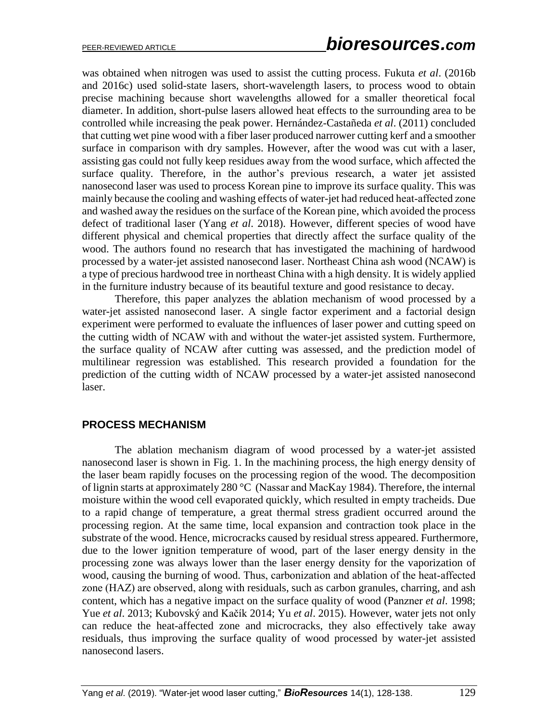was obtained when nitrogen was used to assist the cutting process. Fukuta *et al*. (2016b and 2016c) used solid-state lasers, short-wavelength lasers, to process wood to obtain precise machining because short wavelengths allowed for a smaller theoretical focal diameter. In addition, short-pulse lasers allowed heat effects to the surrounding area to be controlled while increasing the peak power. Hernández-Castañeda *et al*. (2011) concluded that cutting wet pine wood with a fiber laser produced narrower cutting kerf and a smoother surface in comparison with dry samples. However, after the wood was cut with a laser, assisting gas could not fully keep residues away from the wood surface, which affected the surface quality. Therefore, in the author's previous research, a water jet assisted nanosecond laser was used to process Korean pine to improve its surface quality. This was mainly because the cooling and washing effects of water-jet had reduced heat-affected zone and washed away the residues on the surface of the Korean pine, which avoided the process defect of traditional laser (Yang *et al*. 2018). However, different species of wood have different physical and chemical properties that directly affect the surface quality of the wood. The authors found no research that has investigated the machining of hardwood processed by a water-jet assisted nanosecond laser. Northeast China ash wood (NCAW) is a type of precious hardwood tree in northeast China with a high density. It is widely applied in the furniture industry because of its beautiful texture and good resistance to decay.

Therefore, this paper analyzes the ablation mechanism of wood processed by a water-jet assisted nanosecond laser. A single factor experiment and a factorial design experiment were performed to evaluate the influences of laser power and cutting speed on the cutting width of NCAW with and without the water-jet assisted system. Furthermore, the surface quality of NCAW after cutting was assessed, and the prediction model of multilinear regression was established. This research provided a foundation for the prediction of the cutting width of NCAW processed by a water-jet assisted nanosecond laser.

## **PROCESS MECHANISM**

The ablation mechanism diagram of wood processed by a water-jet assisted nanosecond laser is shown in Fig. 1. In the machining process, the high energy density of the laser beam rapidly focuses on the processing region of the wood. The decomposition of lignin starts at approximately 280 °C (Nassar and MacKay 1984). Therefore, the internal moisture within the wood cell evaporated quickly, which resulted in empty tracheids. Due to a rapid change of temperature, a great thermal stress gradient occurred around the processing region. At the same time, local expansion and contraction took place in the substrate of the wood. Hence, microcracks caused by residual stress appeared. Furthermore, due to the lower ignition temperature of wood, part of the laser energy density in the processing zone was always lower than the laser energy density for the vaporization of wood, causing the burning of wood. Thus, carbonization and ablation of the heat-affected zone (HAZ) are observed, along with residuals, such as carbon granules, charring, and ash content, which has a negative impact on the surface quality of wood (Panzner *et al*. 1998; Yue *et al*. 2013; Kubovský and Kačík 2014; Yu *et al*. 2015). However, water jets not only can reduce the heat-affected zone and microcracks, they also effectively take away residuals, thus improving the surface quality of wood processed by water-jet assisted nanosecond lasers.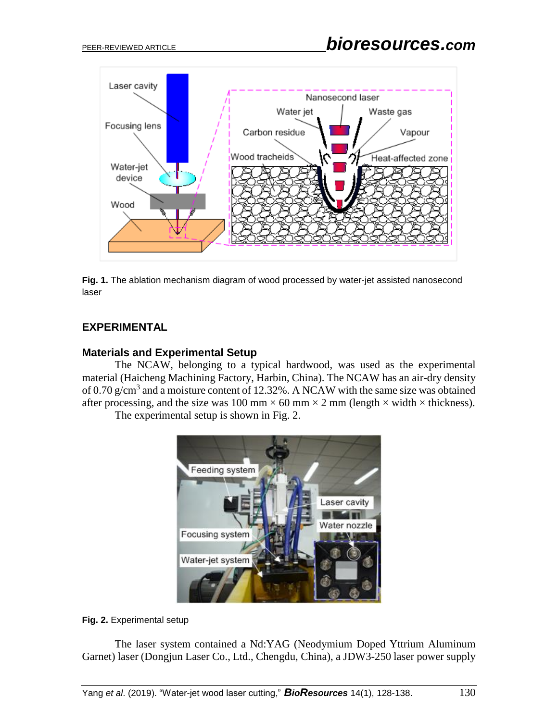

**Fig. 1.** The ablation mechanism diagram of wood processed by water-jet assisted nanosecond laser

# **EXPERIMENTAL**

## **Materials and Experimental Setup**

The NCAW, belonging to a typical hardwood, was used as the experimental material (Haicheng Machining Factory, Harbin, China). The NCAW has an air-dry density of 0.70  $g/cm<sup>3</sup>$  and a moisture content of 12.32%. A NCAW with the same size was obtained after processing, and the size was 100 mm  $\times$  60 mm  $\times$  2 mm (length  $\times$  width  $\times$  thickness).

The experimental setup is shown in Fig. 2.



**Fig. 2.** Experimental setup

The laser system contained a Nd:YAG (Neodymium Doped Yttrium Aluminum Garnet) laser (Dongjun Laser Co., Ltd., Chengdu, China), a JDW3-250 laser power supply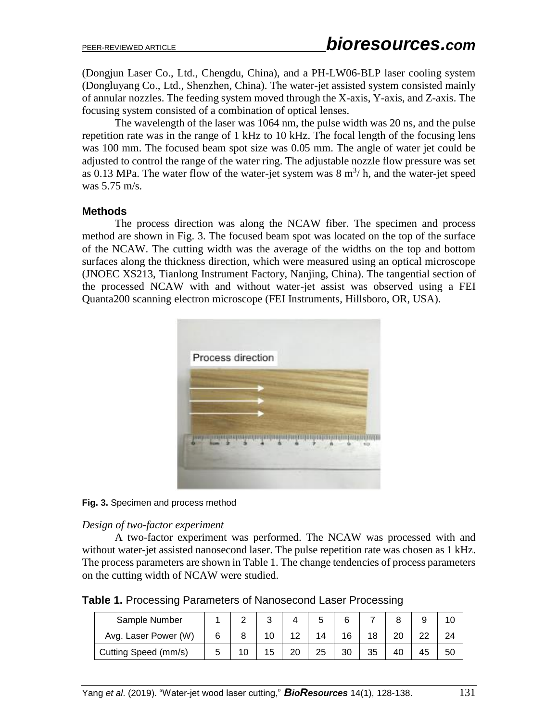(Dongjun Laser Co., Ltd., Chengdu, China), and a PH-LW06-BLP laser cooling system (Dongluyang Co., Ltd., Shenzhen, China). The water-jet assisted system consisted mainly of annular nozzles. The feeding system moved through the X-axis, Y-axis, and Z-axis. The focusing system consisted of a combination of optical lenses.

The wavelength of the laser was 1064 nm, the pulse width was 20 ns, and the pulse repetition rate was in the range of 1 kHz to 10 kHz. The focal length of the focusing lens was 100 mm. The focused beam spot size was 0.05 mm. The angle of water jet could be adjusted to control the range of the water ring. The adjustable nozzle flow pressure was set as 0.13 MPa. The water flow of the water-jet system was  $8 \text{ m}^3$ / h, and the water-jet speed was 5.75 m/s.

### **Methods**

The process direction was along the NCAW fiber. The specimen and process method are shown in Fig. 3. The focused beam spot was located on the top of the surface of the NCAW. The cutting width was the average of the widths on the top and bottom surfaces along the thickness direction, which were measured using an optical microscope (JNOEC XS213, Tianlong Instrument Factory, Nanjing, China). The tangential section of the processed NCAW with and without water-jet assist was observed using a FEI Quanta200 scanning electron microscope (FEI Instruments, Hillsboro, OR, USA).



**Fig. 3.** Specimen and process method

#### *Design of two-factor experiment*

A two-factor experiment was performed. The NCAW was processed with and without water-jet assisted nanosecond laser. The pulse repetition rate was chosen as 1 kHz. The process parameters are shown in Table 1. The change tendencies of process parameters on the cutting width of NCAW were studied.

**Table 1.** Processing Parameters of Nanosecond Laser Processing

| Sample Number        |  |   |    |    |    |    |    |    |    |
|----------------------|--|---|----|----|----|----|----|----|----|
| Avg. Laser Power (W) |  |   |    |    |    |    |    | ົ  | 24 |
| Cutting Speed (mm/s) |  | 5 | oc | 25 | 30 | 35 | 40 | 45 | 50 |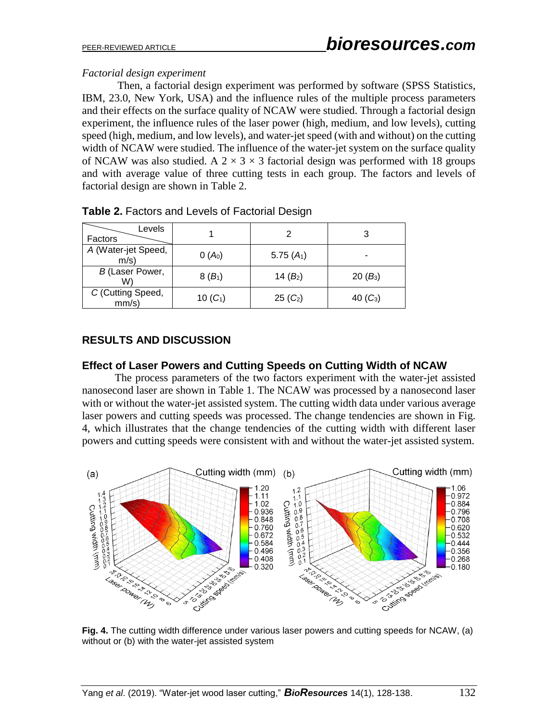## *Factorial design experiment*

Then, a factorial design experiment was performed by software (SPSS Statistics, IBM, 23.0, New York, USA) and the influence rules of the multiple process parameters and their effects on the surface quality of NCAW were studied. Through a factorial design experiment, the influence rules of the laser power (high, medium, and low levels), cutting speed (high, medium, and low levels), and water-jet speed (with and without) on the cutting width of NCAW were studied. The influence of the water-jet system on the surface quality of NCAW was also studied. A  $2 \times 3 \times 3$  factorial design was performed with 18 groups and with average value of three cutting tests in each group. The factors and levels of factorial design are shown in Table 2.

| Levels<br>Factors           |            | 2                    | 3          |
|-----------------------------|------------|----------------------|------------|
| A (Water-jet Speed,<br>m/s) | $0(A_0)$   | 5.75 $(A_1)$         |            |
| B (Laser Power,<br>W)       | $8(B_1)$   | 14 $(B_2)$           | $20(B_3)$  |
| C (Cutting Speed,<br>mm/s)  | 10 $(C_1)$ | 25 (C <sub>2</sub> ) | 40 $(C_3)$ |

|  |  |  |  |  | Table 2. Factors and Levels of Factorial Design |  |
|--|--|--|--|--|-------------------------------------------------|--|
|--|--|--|--|--|-------------------------------------------------|--|

# **RESULTS AND DISCUSSION**

## **Effect of Laser Powers and Cutting Speeds on Cutting Width of NCAW**

The process parameters of the two factors experiment with the water-jet assisted nanosecond laser are shown in Table 1. The NCAW was processed by a nanosecond laser with or without the water-jet assisted system. The cutting width data under various average laser powers and cutting speeds was processed. The change tendencies are shown in Fig. 4, which illustrates that the change tendencies of the cutting width with different laser powers and cutting speeds were consistent with and without the water-jet assisted system.



**Fig. 4.** The cutting width difference under various laser powers and cutting speeds for NCAW, (a) without or (b) with the water-jet assisted system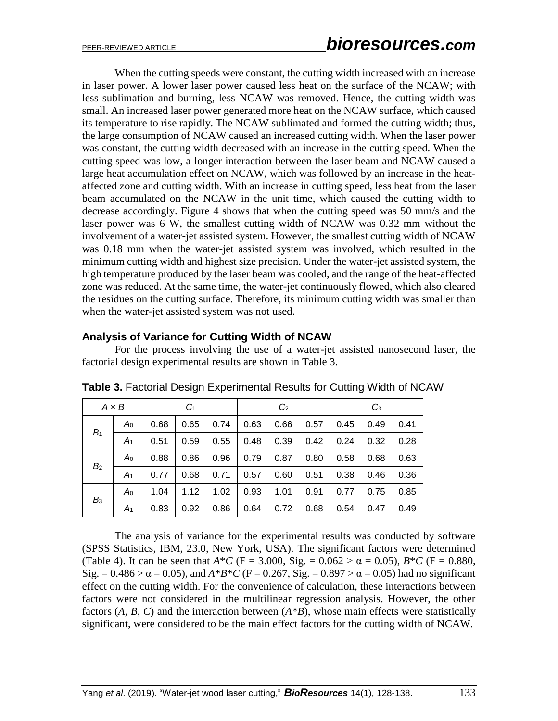When the cutting speeds were constant, the cutting width increased with an increase in laser power. A lower laser power caused less heat on the surface of the NCAW; with less sublimation and burning, less NCAW was removed. Hence, the cutting width was small. An increased laser power generated more heat on the NCAW surface, which caused its temperature to rise rapidly. The NCAW sublimated and formed the cutting width; thus, the large consumption of NCAW caused an increased cutting width. When the laser power was constant, the cutting width decreased with an increase in the cutting speed. When the cutting speed was low, a longer interaction between the laser beam and NCAW caused a large heat accumulation effect on NCAW, which was followed by an increase in the heataffected zone and cutting width. With an increase in cutting speed, less heat from the laser beam accumulated on the NCAW in the unit time, which caused the cutting width to decrease accordingly. Figure 4 shows that when the cutting speed was 50 mm/s and the laser power was 6 W, the smallest cutting width of NCAW was 0.32 mm without the involvement of a water-jet assisted system. However, the smallest cutting width of NCAW was 0.18 mm when the water-jet assisted system was involved, which resulted in the minimum cutting width and highest size precision. Under the water-jet assisted system, the high temperature produced by the laser beam was cooled, and the range of the heat-affected zone was reduced. At the same time, the water-jet continuously flowed, which also cleared the residues on the cutting surface. Therefore, its minimum cutting width was smaller than when the water-jet assisted system was not used.

## **Analysis of Variance for Cutting Width of NCAW**

For the process involving the use of a water-jet assisted nanosecond laser, the factorial design experimental results are shown in Table 3.

|                | $A \times B$   |      | C <sub>1</sub> |      |      | C <sub>2</sub> |      |      | $C_3$ |      |
|----------------|----------------|------|----------------|------|------|----------------|------|------|-------|------|
| B <sub>1</sub> | $A_0$          | 0.68 | 0.65           | 0.74 | 0.63 | 0.66           | 0.57 | 0.45 | 0.49  | 0.41 |
|                | $A_1$          | 0.51 | 0.59           | 0.55 | 0.48 | 0.39           | 0.42 | 0.24 | 0.32  | 0.28 |
| B <sub>2</sub> | $A_0$          | 0.88 | 0.86           | 0.96 | 0.79 | 0.87           | 0.80 | 0.58 | 0.68  | 0.63 |
|                | A <sub>1</sub> | 0.77 | 0.68           | 0.71 | 0.57 | 0.60           | 0.51 | 0.38 | 0.46  | 0.36 |
| $B_3$          | $A_0$          | 1.04 | 1.12           | 1.02 | 0.93 | 1.01           | 0.91 | 0.77 | 0.75  | 0.85 |
|                | $A_1$          | 0.83 | 0.92           | 0.86 | 0.64 | 0.72           | 0.68 | 0.54 | 0.47  | 0.49 |

**Table 3.** Factorial Design Experimental Results for Cutting Width of NCAW

The analysis of variance for the experimental results was conducted by software (SPSS Statistics, IBM, 23.0, New York, USA). The significant factors were determined (Table 4). It can be seen that  $A^*C$  (F = 3.000, Sig. = 0.062 >  $\alpha$  = 0.05),  $B^*C$  (F = 0.880, Sig.  $= 0.486 > \alpha = 0.05$ ), and  $A*B*C$  (F = 0.267, Sig. = 0.897  $>\alpha = 0.05$ ) had no significant effect on the cutting width. For the convenience of calculation, these interactions between factors were not considered in the multilinear regression analysis. However, the other factors (*A, B*, *C*) and the interaction between (*A\*B*), whose main effects were statistically significant, were considered to be the main effect factors for the cutting width of NCAW.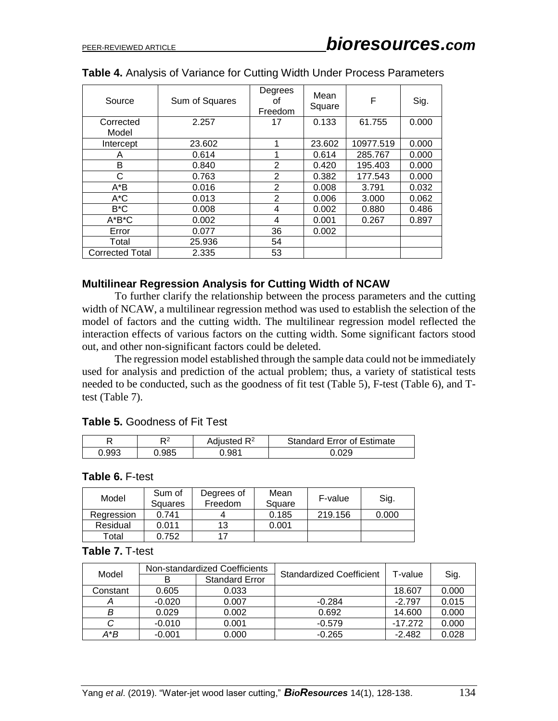| Source                 | Sum of Squares | Degrees<br>οt<br>Freedom | Mean<br>Square | F         | Sig.  |
|------------------------|----------------|--------------------------|----------------|-----------|-------|
| Corrected<br>Model     | 2.257          | 17                       | 0.133          | 61.755    | 0.000 |
| Intercept              | 23.602         | 1                        | 23.602         | 10977.519 | 0.000 |
| A                      | 0.614          | 1                        | 0.614          | 285.767   | 0.000 |
| B                      | 0.840          | $\overline{2}$           | 0.420          | 195.403   | 0.000 |
| С                      | 0.763          | $\overline{2}$           | 0.382          | 177.543   | 0.000 |
| $A^*B$                 | 0.016          | $\overline{2}$           | 0.008          | 3.791     | 0.032 |
| A*C                    | 0.013          | 2                        | 0.006          | 3.000     | 0.062 |
| B*C                    | 0.008          | 4                        | 0.002          | 0.880     | 0.486 |
| $A^*B^*C$              | 0.002          | 4                        | 0.001          | 0.267     | 0.897 |
| Error                  | 0.077          | 36                       | 0.002          |           |       |
| Total                  | 25.936         | 54                       |                |           |       |
| <b>Corrected Total</b> | 2.335          | 53                       |                |           |       |

### **Table 4.** Analysis of Variance for Cutting Width Under Process Parameters

#### **Multilinear Regression Analysis for Cutting Width of NCAW**

To further clarify the relationship between the process parameters and the cutting width of NCAW, a multilinear regression method was used to establish the selection of the model of factors and the cutting width. The multilinear regression model reflected the interaction effects of various factors on the cutting width. Some significant factors stood out, and other non-significant factors could be deleted.

The regression model established through the sample data could not be immediately used for analysis and prediction of the actual problem; thus, a variety of statistical tests needed to be conducted, such as the goodness of fit test (Table 5), F-test (Table 6), and Ttest (Table 7).

#### **Table 5.** Goodness of Fit Test

| 冖     | r o  | Adjusted $R^2$ | <b>Standard Error of Estimate</b> |
|-------|------|----------------|-----------------------------------|
| 0.993 | .985 | 981            | סכח ו                             |

#### **Table 6.** F-test

| Model      | Sum of<br>Squares | Degrees of<br>Freedom | Mean<br>Square | F-value | Sig.  |
|------------|-------------------|-----------------------|----------------|---------|-------|
| Regression | 0.741             |                       | 0.185          | 219.156 | 0.000 |
| Residual   | 0.011             | 13                    | 0.001          |         |       |
| Total      | 0.752             | 17                    |                |         |       |

#### **Table 7.** T-test

| Model    |          | Non-standardized Coefficients | <b>Standardized Coefficient</b> | T-value   |       |  |
|----------|----------|-------------------------------|---------------------------------|-----------|-------|--|
|          | в        | <b>Standard Error</b>         |                                 |           | Sig.  |  |
| Constant | 0.605    | 0.033                         |                                 | 18.607    | 0.000 |  |
|          | $-0.020$ | 0.007                         | $-0.284$                        | $-2.797$  | 0.015 |  |
|          | 0.029    | 0.002                         | 0.692                           | 14.600    | 0.000 |  |
|          | $-0.010$ | 0.001                         | $-0.579$                        | $-17.272$ | 0.000 |  |
| A*B      | $-0.001$ | 0.000                         | $-0.265$                        | $-2.482$  | 0.028 |  |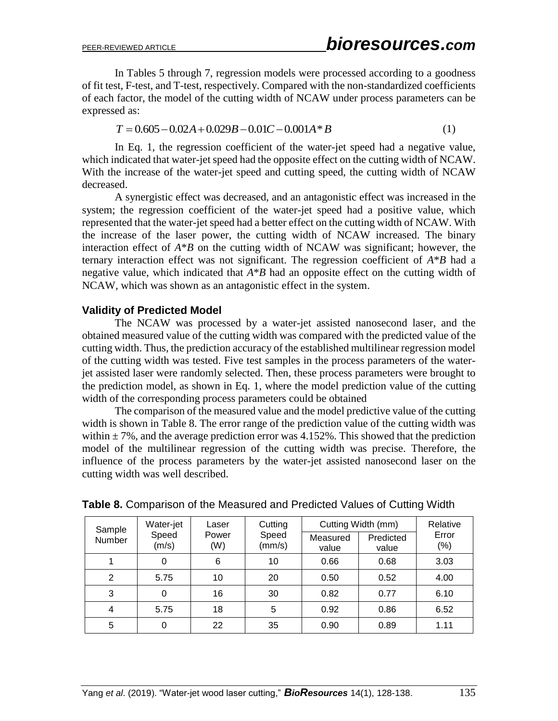In Tables 5 through 7, regression models were processed according to a goodness of fit test, F-test, and T-test, respectively. Compared with the non-standardized coefficients of each factor, the model of the cutting width of NCAW under process parameters can be expressed as:

$$
T = 0.605 - 0.02A + 0.029B - 0.01C - 0.001A * B \tag{1}
$$

In Eq. 1, the regression coefficient of the water-jet speed had a negative value, which indicated that water-jet speed had the opposite effect on the cutting width of NCAW. With the increase of the water-jet speed and cutting speed, the cutting width of NCAW decreased.

A synergistic effect was decreased, and an antagonistic effect was increased in the system; the regression coefficient of the water-jet speed had a positive value, which represented that the water-jet speed had a better effect on the cutting width of NCAW. With the increase of the laser power, the cutting width of NCAW increased. The binary interaction effect of *A*\**B* on the cutting width of NCAW was significant; however, the ternary interaction effect was not significant. The regression coefficient of *A*\**B* had a negative value, which indicated that *A*\**B* had an opposite effect on the cutting width of NCAW, which was shown as an antagonistic effect in the system.

## **Validity of Predicted Model**

The NCAW was processed by a water-jet assisted nanosecond laser, and the obtained measured value of the cutting width was compared with the predicted value of the cutting width. Thus, the prediction accuracy of the established multilinear regression model of the cutting width was tested. Five test samples in the process parameters of the waterjet assisted laser were randomly selected. Then, these process parameters were brought to the prediction model, as shown in Eq. 1, where the model prediction value of the cutting width of the corresponding process parameters could be obtained

The comparison of the measured value and the model predictive value of the cutting width is shown in Table 8. The error range of the prediction value of the cutting width was within  $\pm$  7%, and the average prediction error was 4.152%. This showed that the prediction model of the multilinear regression of the cutting width was precise. Therefore, the influence of the process parameters by the water-jet assisted nanosecond laser on the cutting width was well described.

| Sample | Water-jet      | Laser        | Cutting         | Cutting Width (mm) | Relative           |                 |
|--------|----------------|--------------|-----------------|--------------------|--------------------|-----------------|
| Number | Speed<br>(m/s) | Power<br>(W) | Speed<br>(mm/s) | Measured<br>value  | Predicted<br>value | Error<br>$(\%)$ |
|        | 0              | 6            | 10              | 0.66               | 0.68               | 3.03            |
| 2      | 5.75           | 10           | 20              | 0.50               | 0.52               | 4.00            |
| 3      | 0              | 16           | 30              | 0.82               | 0.77               | 6.10            |
| 4      | 5.75           | 18           | 5               | 0.92               | 0.86               | 6.52            |
| 5      | 0              | 22           | 35              | 0.90               | 0.89               | 1.11            |

#### **Table 8.** Comparison of the Measured and Predicted Values of Cutting Width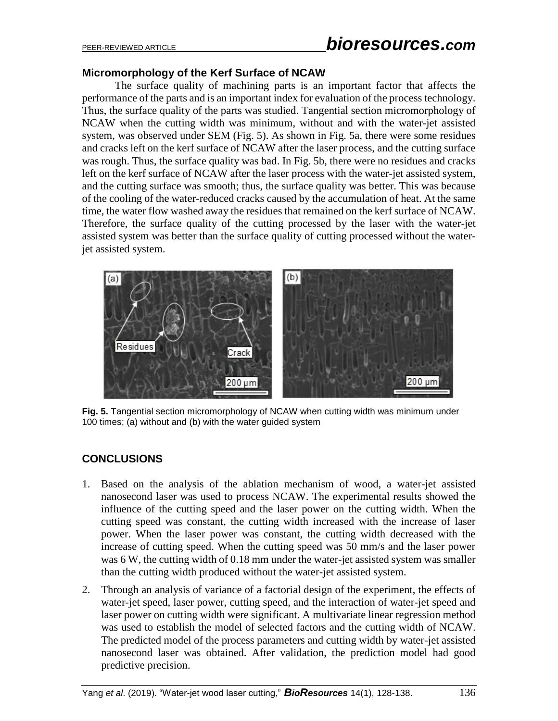# PEER-REVIEWED ARTICLE *bioresources.com*

## **Micromorphology of the Kerf Surface of NCAW**

The surface quality of machining parts is an important factor that affects the performance of the parts and is an important index for evaluation of the process technology. Thus, the surface quality of the parts was studied. Tangential section micromorphology of NCAW when the cutting width was minimum, without and with the water-jet assisted system, was observed under SEM (Fig. 5). As shown in Fig. 5a, there were some residues and cracks left on the kerf surface of NCAW after the laser process, and the cutting surface was rough. Thus, the surface quality was bad. In Fig. 5b, there were no residues and cracks left on the kerf surface of NCAW after the laser process with the water-jet assisted system, and the cutting surface was smooth; thus, the surface quality was better. This was because of the cooling of the water-reduced cracks caused by the accumulation of heat. At the same time, the water flow washed away the residues that remained on the kerf surface of NCAW. Therefore, the surface quality of the cutting processed by the laser with the water-jet assisted system was better than the surface quality of cutting processed without the waterjet assisted system.



**Fig. 5.** Tangential section micromorphology of NCAW when cutting width was minimum under 100 times; (a) without and (b) with the water guided system

# **CONCLUSIONS**

- 1. Based on the analysis of the ablation mechanism of wood, a water-jet assisted nanosecond laser was used to process NCAW. The experimental results showed the influence of the cutting speed and the laser power on the cutting width. When the cutting speed was constant, the cutting width increased with the increase of laser power. When the laser power was constant, the cutting width decreased with the increase of cutting speed. When the cutting speed was 50 mm/s and the laser power was 6 W, the cutting width of 0.18 mm under the water-jet assisted system was smaller than the cutting width produced without the water-jet assisted system.
- 2. Through an analysis of variance of a factorial design of the experiment, the effects of water-jet speed, laser power, cutting speed, and the interaction of water-jet speed and laser power on cutting width were significant. A multivariate linear regression method was used to establish the model of selected factors and the cutting width of NCAW. The predicted model of the process parameters and cutting width by water-jet assisted nanosecond laser was obtained. After validation, the prediction model had good predictive precision.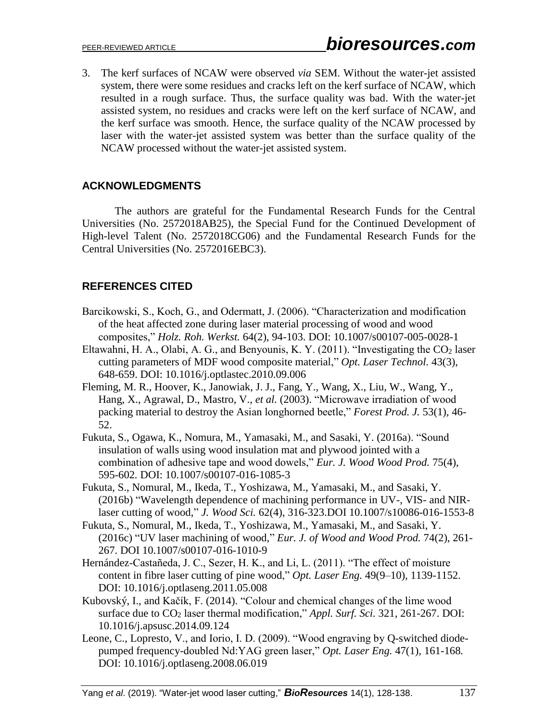3. The kerf surfaces of NCAW were observed *via* SEM. Without the water-jet assisted system, there were some residues and cracks left on the kerf surface of NCAW, which resulted in a rough surface. Thus, the surface quality was bad. With the water-jet assisted system, no residues and cracks were left on the kerf surface of NCAW, and the kerf surface was smooth. Hence, the surface quality of the NCAW processed by laser with the water-jet assisted system was better than the surface quality of the NCAW processed without the water-jet assisted system.

## **ACKNOWLEDGMENTS**

The authors are grateful for the Fundamental Research Funds for the Central Universities (No. 2572018AB25), the Special Fund for the Continued Development of High-level Talent (No. 2572018CG06) and the Fundamental Research Funds for the Central Universities (No. 2572016EBC3).

# **REFERENCES CITED**

- Barcikowski, S., Koch, G., and Odermatt, J. (2006). "Characterization and modification of the heat affected zone during laser material processing of wood and wood composites," *Holz. Roh. Werkst.* 64(2), 94-103. DOI: 10.1007/s00107-005-0028-1
- Eltawahni, H. A., Olabi, A. G., and Benyounis, K. Y. (2011). "Investigating the CO<sub>2</sub> laser cutting parameters of MDF wood composite material," *Opt. Laser Technol.* 43(3), 648-659. DOI: 10.1016/j.optlastec.2010.09.006
- Fleming, M. R., Hoover, K., Janowiak, J. J., Fang, Y., Wang, X., Liu, W., Wang, Y., Hang, X., Agrawal, D., Mastro, V., *et al.* (2003). "Microwave irradiation of wood packing material to destroy the Asian longhorned beetle," *Forest Prod. J.* 53(1), 46- 52.
- Fukuta, S., Ogawa, K., Nomura, M., Yamasaki, M., and Sasaki, Y. (2016a). "Sound insulation of walls using wood insulation mat and plywood jointed with a combination of adhesive tape and wood dowels," *Eur. J. Wood Wood Prod.* 75(4), 595-602*.* DOI: 10.1007/s00107-016-1085-3
- Fukuta, S., Nomural, M., Ikeda, T., Yoshizawa, M., Yamasaki, M., and Sasaki, Y. (2016b) "Wavelength dependence of machining performance in UV-, VIS- and NIRlaser cutting of wood," *J. Wood Sci.* 62(4), 316-323.DOI 10.1007/s10086-016-1553-8
- Fukuta, S., Nomural, M., Ikeda, T., Yoshizawa, M., Yamasaki, M., and Sasaki, Y. (2016c) "UV laser machining of wood," *Eur. J. of Wood and Wood Prod.* 74(2), 261- 267. DOI 10.1007/s00107-016-1010-9
- Hernández-Castañeda, J. C., Sezer, H. K., and Li, L. (2011). "The effect of moisture content in fibre laser cutting of pine wood," *Opt. Laser Eng.* 49(9–10)*,* 1139-1152. DOI: 10.1016/j.optlaseng.2011.05.008
- Kubovský, I., and Kačík, F. (2014). "Colour and chemical changes of the lime wood surface due to CO<sup>2</sup> laser thermal modification," *Appl. Surf. Sci.* 321, 261-267. DOI: 10.1016/j.apsusc.2014.09.124
- Leone, C., Lopresto, V., and Iorio, I. D. (2009). "Wood engraving by Q-switched diodepumped frequency-doubled Nd:YAG green laser," *Opt. Laser Eng.* 47(1)*,* 161-168*.* DOI: 10.1016/j.optlaseng.2008.06.019